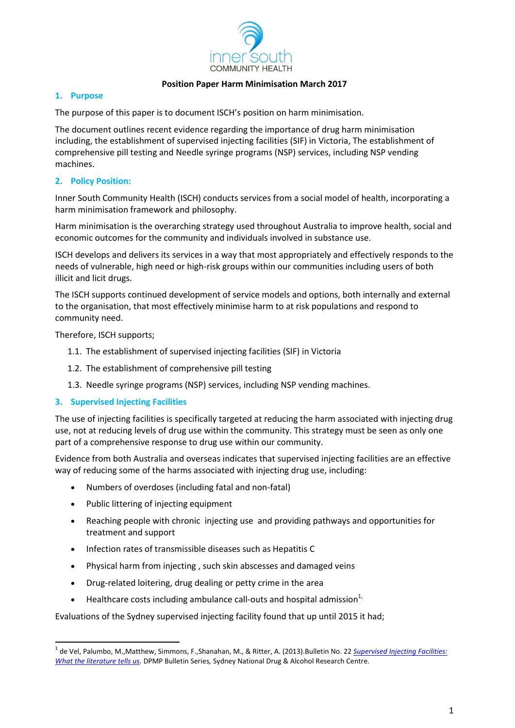

### **Position Paper Harm Minimisation March 2017**

### **1. Purpose**

The purpose of this paper is to document ISCH's position on harm minimisation.

The document outlines recent evidence regarding the importance of drug harm minimisation including, the establishment of supervised injecting facilities (SIF) in Victoria, The establishment of comprehensive pill testing and Needle syringe programs (NSP) services, including NSP vending machines.

### **2. Policy Position:**

Inner South Community Health (ISCH) conducts services from a social model of health, incorporating a harm minimisation framework and philosophy.

Harm minimisation is the overarching strategy used throughout Australia to improve health, social and economic outcomes for the community and individuals involved in substance use.

ISCH develops and delivers its services in a way that most appropriately and effectively responds to the needs of vulnerable, high need or high-risk groups within our communities including users of both illicit and licit drugs.

The ISCH supports continued development of service models and options, both internally and external to the organisation, that most effectively minimise harm to at risk populations and respond to community need.

Therefore, ISCH supports;

 $\overline{\phantom{a}}$ 

- 1.1. The establishment of supervised injecting facilities (SIF) in Victoria
- 1.2. The establishment of comprehensive pill testing
- 1.3. Needle syringe programs (NSP) services, including NSP vending machines.

## **3. Supervised Injecting Facilities**

The use of injecting facilities is specifically targeted at reducing the harm associated with injecting drug use, not at reducing levels of drug use within the community. This strategy must be seen as only one part of a comprehensive response to drug use within our community.

Evidence from both Australia and overseas indicates that supervised injecting facilities are an effective way of reducing some of the harms associated with injecting drug use, including:

- Numbers of overdoses (including fatal and non-fatal)
- Public littering of injecting equipment
- Reaching people with chronic injecting use and providing pathways and opportunities for treatment and support
- Infection rates of transmissible diseases such as Hepatitis C
- Physical harm from injecting , such skin abscesses and damaged veins
- Drug-related loitering, drug dealing or petty crime in the area
- **•** Healthcare costs including ambulance call-outs and hospital admission<sup>1,</sup>

Evaluations of the Sydney supervised injecting facility found that up until 2015 it had;

<sup>1</sup> de Vel, Palumbo, M.,Matthew, Simmons, F.,Shanahan, M., & Ritter, A. (2013).Bulletin No. 22 *[Supervised Injecting Facilities:](http://dpmp.unsw.edu.au/sites/default/files/dpmp/resources/DPMP%20Bulletin%2022_0.pdf)  [What the literature tells us.](http://dpmp.unsw.edu.au/sites/default/files/dpmp/resources/DPMP%20Bulletin%2022_0.pdf)* DPMP Bulletin Series*,* Sydney National Drug & Alcohol Research Centre.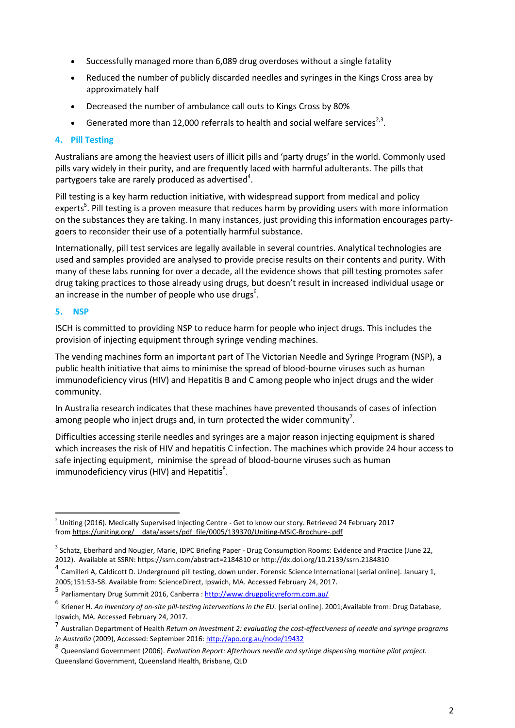- Successfully managed more than 6,089 drug overdoses without a single fatality
- Reduced the number of publicly discarded needles and syringes in the Kings Cross area by approximately half
- Decreased the number of ambulance call outs to Kings Cross by 80%
- Generated more than 12,000 referrals to health and social welfare services<sup>2,3</sup>.

# **4. Pill Testing**

Australians are among the heaviest users of illicit pills and 'party drugs' in the world. Commonly used pills vary widely in their purity, and are frequently laced with harmful adulterants. The pills that partygoers take are rarely produced as advertised<sup>4</sup>.

Pill testing is a key harm reduction initiative, with widespread support from medical and policy experts<sup>5</sup>. Pill testing is a proven measure that reduces harm by providing users with more information on the substances they are taking. In many instances, just providing this information encourages partygoers to reconsider their use of a potentially harmful substance.

Internationally, pill test services are legally available in several countries. Analytical technologies are used and samples provided are analysed to provide precise results on their contents and purity. With many of these labs running for over a decade, all the evidence shows that pill testing promotes safer drug taking practices to those already using drugs, but doesn't result in increased individual usage or an increase in the number of people who use drugs $^6$ .

# **5. NSP**

 $\overline{\phantom{a}}$ 

ISCH is committed to providing NSP to reduce harm for people who inject drugs. This includes the provision of injecting equipment through syringe vending machines.

The vending machines form an important part of The Victorian Needle and Syringe Program (NSP), a public health initiative that aims to minimise the spread of blood-bourne viruses such as human immunodeficiency virus (HIV) and Hepatitis B and C among people who inject drugs and the wider community.

In Australia research indicates that these machines have prevented thousands of cases of infection among people who inject drugs and, in turn protected the wider community<sup>7</sup>.

Difficulties accessing sterile needles and syringes are a major reason injecting equipment is shared which increases the risk of HIV and hepatitis C infection. The machines which provide 24 hour access to safe injecting equipment, minimise the spread of blood-bourne viruses such as human immunodeficiency virus (HIV) and Hepatitis $^8$ .

 $^2$  Uniting (2016). Medically Supervised Injecting Centre - Get to know our story. Retrieved 24 February 2017 from [https://uniting.org/\\_\\_data/assets/pdf\\_file/0005/139370/Uniting-MSIC-Brochure-.pdf](https://uniting.org/__data/assets/pdf_file/0005/139370/Uniting-MSIC-Brochure-.pdf)

<sup>&</sup>lt;sup>3</sup> Schatz, Eberhard and Nougier, Marie, IDPC Briefing Paper - Drug Consumption Rooms: Evidence and Practice (June 22, 2012). Available at SSRN: https://ssrn.com/abstract=2184810 or http://dx.doi.org/10.2139/ssrn.2184810

<sup>&</sup>lt;sup>4</sup> Camilleri A, Caldicott D. Underground pill testing, down under. Forensic Science International [serial online]. January 1, 2005;151:53-58. Available from: ScienceDirect, Ipswich, MA. Accessed February 24, 2017.

<sup>5&</sup>lt;br>Parliamentary Drug Summit 2016, Canberra [: http://www.drugpolicyreform.com.au/](http://www.drugpolicyreform.com.au/)

<sup>6</sup> Kriener H. *An inventory of on-site pill-testing interventions in the EU.* [serial online]. 2001;Available from: Drug Database, Ipswich, MA. Accessed February 24, 2017.

<sup>7</sup> Australian Department of Health *Return on investment 2: evaluating the cost-effectiveness of needle and syringe programs in Australia* (2009), Accessed: September 2016[: http://apo.org.au/node/19432](http://apo.org.au/node/19432)

<sup>8</sup> Queensland Government (2006). *Evaluation Report: Afterhours needle and syringe dispensing machine pilot project.* Queensland Government, Queensland Health, Brisbane, QLD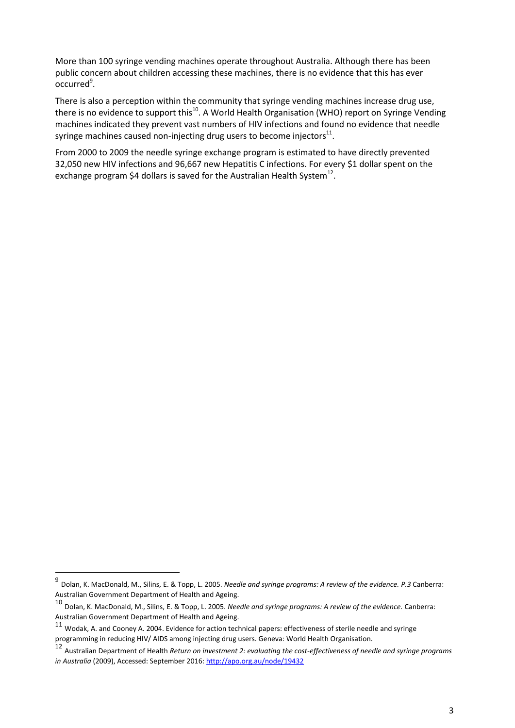More than 100 syringe vending machines operate throughout Australia. Although there has been public concern about children accessing these machines, there is no evidence that this has ever occurred<sup>9</sup>.

There is also a perception within the community that syringe vending machines increase drug use, there is no evidence to support this<sup>10</sup>. A World Health Organisation (WHO) report on Syringe Vending machines indicated they prevent vast numbers of HIV infections and found no evidence that needle syringe machines caused non-injecting drug users to become injectors $^{\rm 11}.$ 

From 2000 to 2009 the needle syringe exchange program is estimated to have directly prevented 32,050 new HIV infections and 96,667 new Hepatitis C infections. For every \$1 dollar spent on the exchange program \$4 dollars is saved for the Australian Health System<sup>12</sup>.

 $\overline{\phantom{a}}$ 

<sup>9</sup> Dolan, K. MacDonald, M., Silins, E. & Topp, L. 2005. *Needle and syringe programs: A review of the evidence. P.3* Canberra: Australian Government Department of Health and Ageing.

<sup>10</sup> Dolan, K. MacDonald, M., Silins, E. & Topp, L. 2005. *Needle and syringe programs: A review of the evidence.* Canberra: Australian Government Department of Health and Ageing.

 $11$  Wodak, A. and Cooney A. 2004. Evidence for action technical papers: effectiveness of sterile needle and syringe programming in reducing HIV/ AIDS among injecting drug users. Geneva: World Health Organisation.

<sup>12</sup> Australian Department of Health *Return on investment 2: evaluating the cost-effectiveness of needle and syringe programs in Australia* (2009), Accessed: September 2016[: http://apo.org.au/node/19432](http://apo.org.au/node/19432)